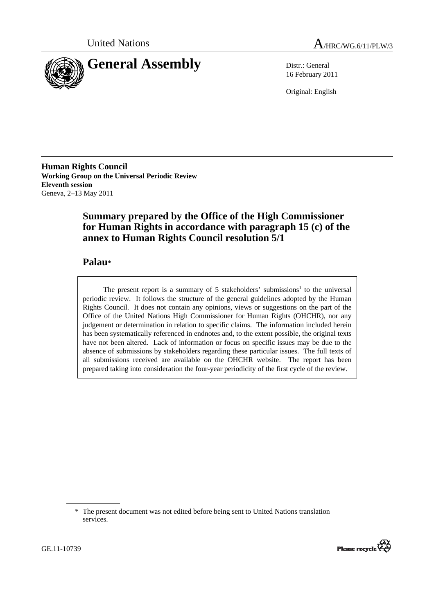



16 February 2011

Original: English

**Human Rights Council Working Group on the Universal Periodic Review Eleventh session**  Geneva, 2–13 May 2011

# **Summary prepared by the Office of the High Commissioner for Human Rights in accordance with paragraph 15 (c) of the annex to Human Rights Council resolution 5/1**

# **Palau**\*

The present report is a summary of  $5$  stakeholders' submissions<sup>1</sup> to the universal periodic review. It follows the structure of the general guidelines adopted by the Human Rights Council. It does not contain any opinions, views or suggestions on the part of the Office of the United Nations High Commissioner for Human Rights (OHCHR), nor any judgement or determination in relation to specific claims. The information included herein has been systematically referenced in endnotes and, to the extent possible, the original texts have not been altered. Lack of information or focus on specific issues may be due to the absence of submissions by stakeholders regarding these particular issues. The full texts of all submissions received are available on the OHCHR website. The report has been prepared taking into consideration the four-year periodicity of the first cycle of the review.

<sup>\*</sup> The present document was not edited before being sent to United Nations translation services.

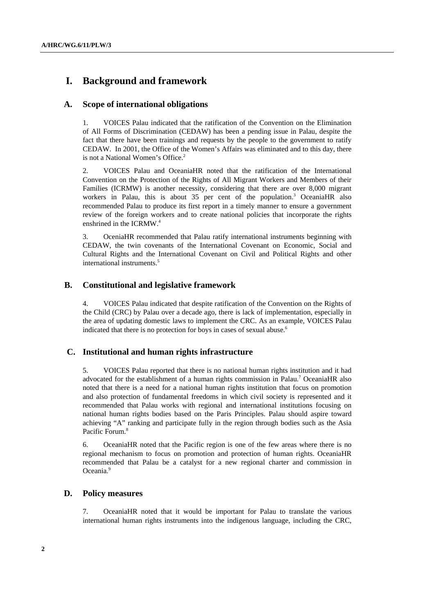# **I. Background and framework**

## **A. Scope of international obligations**

1. VOICES Palau indicated that the ratification of the Convention on the Elimination of All Forms of Discrimination (CEDAW) has been a pending issue in Palau, despite the fact that there have been trainings and requests by the people to the government to ratify CEDAW. In 2001, the Office of the Women's Affairs was eliminated and to this day, there is not a National Women's Office.<sup>2</sup>

2. VOICES Palau and OceaniaHR noted that the ratification of the International Convention on the Protection of the Rights of All Migrant Workers and Members of their Families (ICRMW) is another necessity, considering that there are over 8,000 migrant workers in Palau, this is about 35 per cent of the population.<sup>3</sup> OceaniaHR also recommended Palau to produce its first report in a timely manner to ensure a government review of the foreign workers and to create national policies that incorporate the rights enshrined in the ICRMW.<sup>4</sup>

3. OceniaHR recommended that Palau ratify international instruments beginning with CEDAW, the twin covenants of the International Covenant on Economic, Social and Cultural Rights and the International Covenant on Civil and Political Rights and other international instruments.<sup>5</sup>

## **B. Constitutional and legislative framework**

4. VOICES Palau indicated that despite ratification of the Convention on the Rights of the Child (CRC) by Palau over a decade ago, there is lack of implementation, especially in the area of updating domestic laws to implement the CRC. As an example, VOICES Palau indicated that there is no protection for boys in cases of sexual abuse.<sup>6</sup>

## **C. Institutional and human rights infrastructure**

5. VOICES Palau reported that there is no national human rights institution and it had advocated for the establishment of a human rights commission in Palau.<sup>7</sup> OceaniaHR also noted that there is a need for a national human rights institution that focus on promotion and also protection of fundamental freedoms in which civil society is represented and it recommended that Palau works with regional and international institutions focusing on national human rights bodies based on the Paris Principles. Palau should aspire toward achieving "A" ranking and participate fully in the region through bodies such as the Asia Pacific Forum.<sup>8</sup>

6. OceaniaHR noted that the Pacific region is one of the few areas where there is no regional mechanism to focus on promotion and protection of human rights. OceaniaHR recommended that Palau be a catalyst for a new regional charter and commission in Oceania.<sup>9</sup>

## **D. Policy measures**

7. OceaniaHR noted that it would be important for Palau to translate the various international human rights instruments into the indigenous language, including the CRC,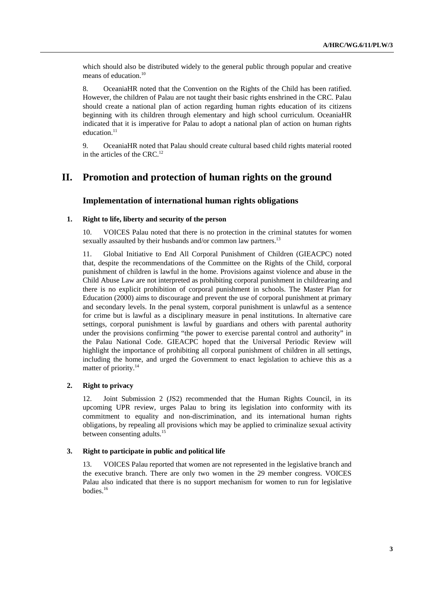which should also be distributed widely to the general public through popular and creative means of education.<sup>10</sup>

8. OceaniaHR noted that the Convention on the Rights of the Child has been ratified. However, the children of Palau are not taught their basic rights enshrined in the CRC. Palau should create a national plan of action regarding human rights education of its citizens beginning with its children through elementary and high school curriculum. OceaniaHR indicated that it is imperative for Palau to adopt a national plan of action on human rights education.<sup>11</sup>

9. OceaniaHR noted that Palau should create cultural based child rights material rooted in the articles of the CRC. $^{12}$ 

# **II. Promotion and protection of human rights on the ground**

### **Implementation of international human rights obligations**

### **1. Right to life, liberty and security of the person**

10. VOICES Palau noted that there is no protection in the criminal statutes for women sexually assaulted by their husbands and/or common law partners.<sup>13</sup>

11. Global Initiative to End All Corporal Punishment of Children (GIEACPC) noted that, despite the recommendations of the Committee on the Rights of the Child, corporal punishment of children is lawful in the home. Provisions against violence and abuse in the Child Abuse Law are not interpreted as prohibiting corporal punishment in childrearing and there is no explicit prohibition of corporal punishment in schools. The Master Plan for Education (2000) aims to discourage and prevent the use of corporal punishment at primary and secondary levels. In the penal system, corporal punishment is unlawful as a sentence for crime but is lawful as a disciplinary measure in penal institutions. In alternative care settings, corporal punishment is lawful by guardians and others with parental authority under the provisions confirming "the power to exercise parental control and authority" in the Palau National Code. GIEACPC hoped that the Universal Periodic Review will highlight the importance of prohibiting all corporal punishment of children in all settings, including the home, and urged the Government to enact legislation to achieve this as a matter of priority.<sup>14</sup>

### **2. Right to privacy**

12. Joint Submission 2 (JS2) recommended that the Human Rights Council, in its upcoming UPR review, urges Palau to bring its legislation into conformity with its commitment to equality and non-discrimination, and its international human rights obligations, by repealing all provisions which may be applied to criminalize sexual activity between consenting adults.15

### **3. Right to participate in public and political life**

13. VOICES Palau reported that women are not represented in the legislative branch and the executive branch. There are only two women in the 29 member congress. VOICES Palau also indicated that there is no support mechanism for women to run for legislative bodies.16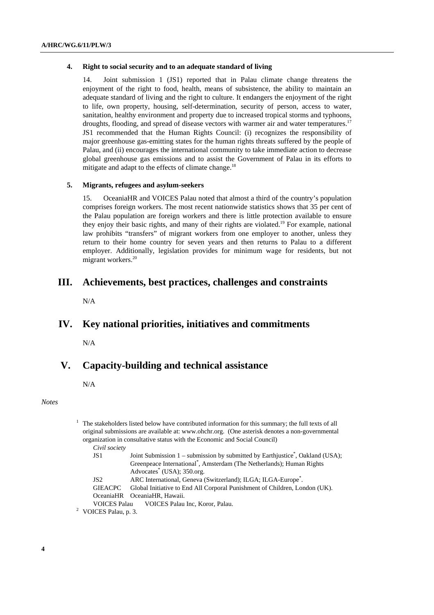#### **4. Right to social security and to an adequate standard of living**

Joint submission 1 (JS1) reported that in Palau climate change threatens the enjoyment of the right to food, health, means of subsistence, the ability to maintain an adequate standard of living and the right to culture. It endangers the enjoyment of the right to life, own property, housing, self-determination, security of person, access to water, sanitation, healthy environment and property due to increased tropical storms and typhoons, droughts, flooding, and spread of disease vectors with warmer air and water temperatures.<sup>17</sup> JS1 recommended that the Human Rights Council: (i) recognizes the responsibility of major greenhouse gas-emitting states for the human rights threats suffered by the people of Palau, and (ii) encourages the international community to take immediate action to decrease global greenhouse gas emissions and to assist the Government of Palau in its efforts to mitigate and adapt to the effects of climate change.<sup>18</sup>

### **5. Migrants, refugees and asylum-seekers**

15. OceaniaHR and VOICES Palau noted that almost a third of the country's population comprises foreign workers. The most recent nationwide statistics shows that 35 per cent of the Palau population are foreign workers and there is little protection available to ensure they enjoy their basic rights, and many of their rights are violated.<sup>19</sup> For example, national law prohibits "transfers" of migrant workers from one employer to another, unless they return to their home country for seven years and then returns to Palau to a different employer. Additionally, legislation provides for minimum wage for residents, but not migrant workers.<sup>20</sup>

## **III. Achievements, best practices, challenges and constraints**

N/A

# **IV. Key national priorities, initiatives and commitments**

N/A

## **V. Capacity-building and technical assistance**

N/A

#### *Notes*

| <sup>1</sup> The stakeholders listed below have contributed information for this summary; the full texts of all |
|-----------------------------------------------------------------------------------------------------------------|
| original submissions are available at: www.ohchr.org. (One asterisk denotes a non-governmental                  |
| organization in consultative status with the Economic and Social Council)                                       |
| $\sim \cdot \cdot$                                                                                              |

*Civil society* 

| JS 1            | Joint Submission 1 – submission by submitted by Earthjustice <sup>*</sup> , Oakland (USA); |
|-----------------|--------------------------------------------------------------------------------------------|
|                 | Greenpeace International <sup>*</sup> , Amsterdam (The Netherlands); Human Rights          |
|                 | Advocates <sup>*</sup> (USA); 350.org.                                                     |
| JS <sub>2</sub> | ARC International, Geneva (Switzerland); ILGA; ILGA-Europe <sup>*</sup> .                  |

- GIEACPC Global Initiative to End All Corporal Punishment of Children, London (UK). OceaniaHR OceaniaHR, Hawaii.
- VOICES Palau VOICES Palau Inc, Koror, Palau. 2
- <sup>2</sup> VOICES Palau, p. 3.